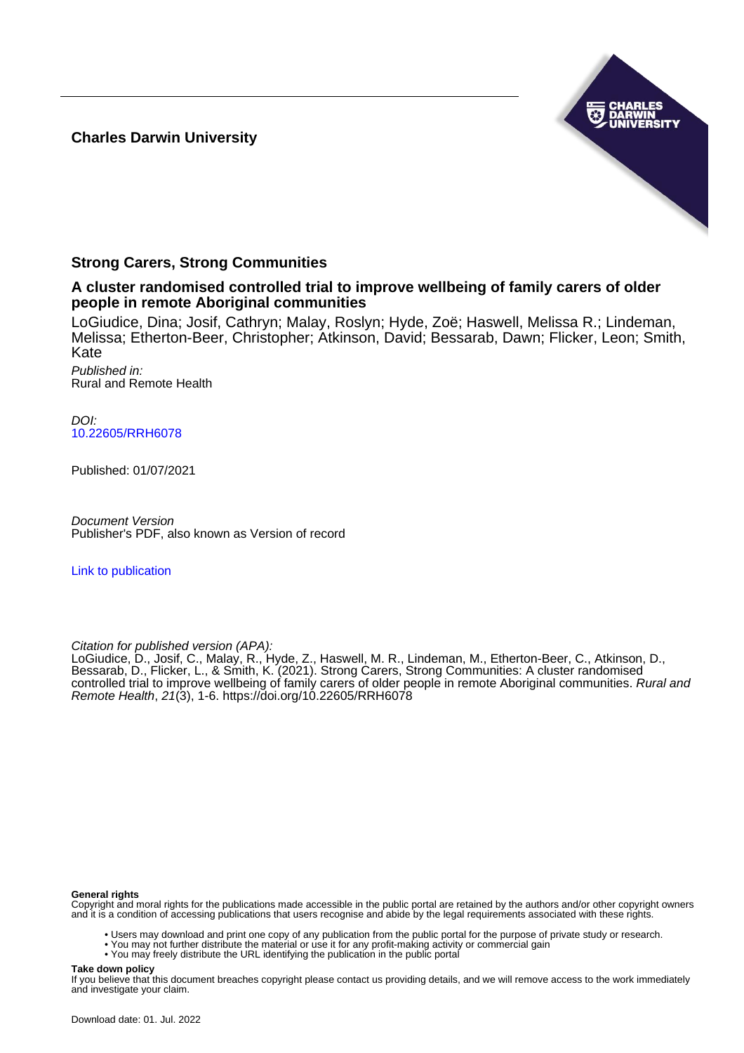**Charles Darwin University**



# **Strong Carers, Strong Communities**

**A cluster randomised controlled trial to improve wellbeing of family carers of older people in remote Aboriginal communities**

LoGiudice, Dina; Josif, Cathryn; Malay, Roslyn; Hyde, Zoë; Haswell, Melissa R.; Lindeman, Melissa; Etherton-Beer, Christopher; Atkinson, David; Bessarab, Dawn; Flicker, Leon; Smith, Kate

Published in: Rural and Remote Health

DOI: [10.22605/RRH6078](https://doi.org/10.22605/RRH6078)

Published: 01/07/2021

Document Version Publisher's PDF, also known as Version of record

[Link to publication](https://researchers.cdu.edu.au/en/publications/3b74c2a0-ea2f-4a74-9435-edd3cefaecb0)

Citation for published version (APA):

LoGiudice, D., Josif, C., Malay, R., Hyde, Z., Haswell, M. R., Lindeman, M., Etherton-Beer, C., Atkinson, D., Bessarab, D., Flicker, L., & Smith, K. (2021). Strong Carers, Strong Communities: A cluster randomised controlled trial to improve wellbeing of family carers of older people in remote Aboriginal communities. *Rural and* Remote Health, 21(3), 1-6.<https://doi.org/10.22605/RRH6078>

#### **General rights**

Copyright and moral rights for the publications made accessible in the public portal are retained by the authors and/or other copyright owners and it is a condition of accessing publications that users recognise and abide by the legal requirements associated with these rights.

• Users may download and print one copy of any publication from the public portal for the purpose of private study or research.

• You may not further distribute the material or use it for any profit-making activity or commercial gain

• You may freely distribute the URL identifying the publication in the public portal

#### **Take down policy**

If you believe that this document breaches copyright please contact us providing details, and we will remove access to the work immediately and investigate your claim.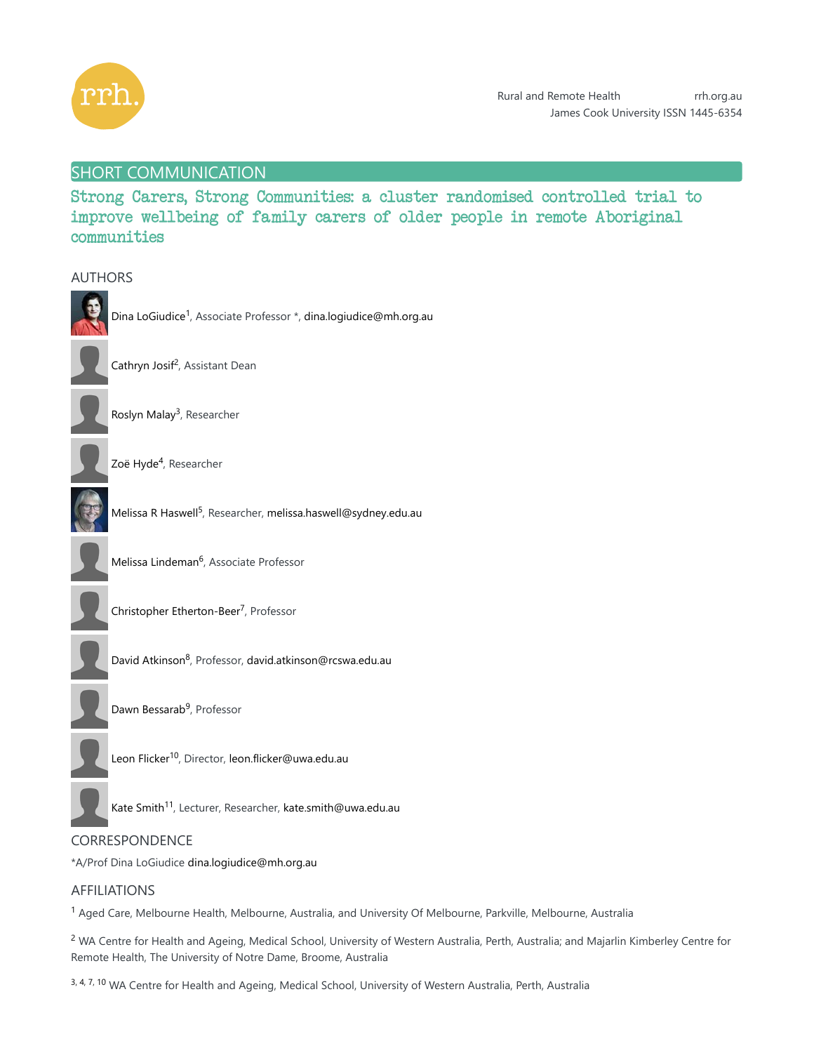

AUTHORS

# SHORT COMMUNICATION

Strong Carers, Strong Communities: a cluster randomised controlled trial to improve wellbeing of family carers of older people in remote Aboriginal communities



# CORRESPONDENCE

\*A/Prof Dina LoGiudice dina.logiudice@mh.org.au

# AFFILIATIONS

<sup>1</sup> Aged Care, Melbourne Health, Melbourne, Australia, and University Of Melbourne, Parkville, Melbourne, Australia

 $^2$  WA Centre for Health and Ageing, Medical School, University of Western Australia, Perth, Australia; and Majarlin Kimberley Centre for Remote Health, The University of Notre Dame, Broome, Australia

3, 4, 7, 10 WA Centre for Health and Ageing, Medical School, University of Western Australia, Perth, Australia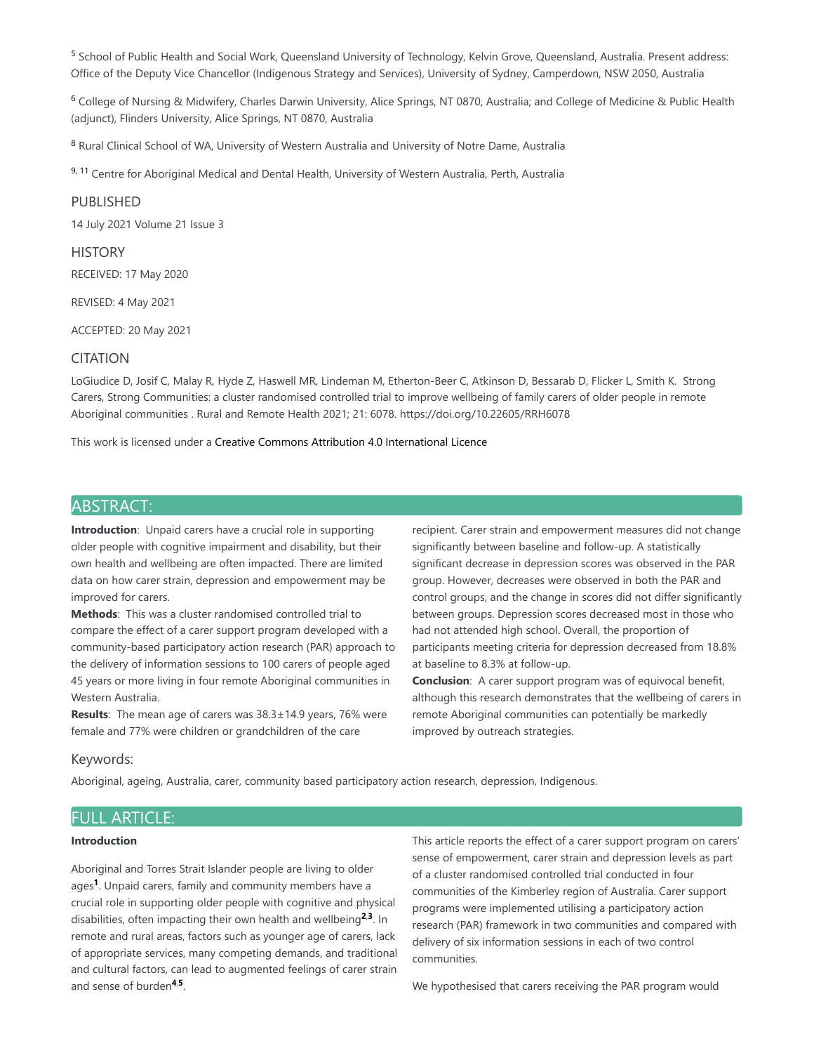<sup>5</sup> School of Public Health and Social Work, Queensland University of Technology, Kelvin Grove, Queensland, Australia. Present address: Office of the Deputy Vice Chancellor (Indigenous Strategy and Services), University of Sydney, Camperdown, NSW 2050, Australia

 $6$  College of Nursing & Midwifery, Charles Darwin University, Alice Springs, NT 0870, Australia; and College of Medicine & Public Health (adjunct), Flinders University, Alice Springs, NT 0870, Australia

<sup>8</sup> Rural Clinical School of WA, University of Western Australia and University of Notre Dame, Australia

9, <sup>11</sup> Centre for Aboriginal Medical and Dental Health, University of Western Australia, Perth, Australia

#### PUBLISHED

14 July 2021 Volume 21 Issue 3

### **HISTORY**

RECEIVED: 17 May 2020

REVISED: 4 May 2021

ACCEPTED: 20 May 2021

### CITATION

LoGiudice D, Josif C, Malay R, Hyde Z, Haswell MR, Lindeman M, Etherton-Beer C, Atkinson D, Bessarab D, Flicker L, Smith K. Strong Carers, Strong Communities: a cluster randomised controlled trial to improve wellbeing of family carers of older people in remote Aboriginal communities . Rural and Remote Health 2021; 21: 6078. https://doi.org/10.22605/RRH6078

This work is licensed under a Creative Commons Attribution 4.0 International Licence

# ABSTRACT:

**Introduction**: Unpaid carers have a crucial role in supporting older people with cognitive impairment and disability, but their own health and wellbeing are often impacted. There are limited data on how carer strain, depression and empowerment may be improved for carers.

**Methods**: This was a cluster randomised controlled trial to compare the effect of a carer support program developed with a community-based participatory action research (PAR) approach to the delivery of information sessions to 100 carers of people aged 45 years or more living in four remote Aboriginal communities in Western Australia.

**Results**: The mean age of carers was 38.3±14.9 years, 76% were female and 77% were children or grandchildren of the care

recipient. Carer strain and empowerment measures did not change significantly between baseline and follow-up. A statistically significant decrease in depression scores was observed in the PAR group. However, decreases were observed in both the PAR and control groups, and the change in scores did not differ significantly between groups. Depression scores decreased most in those who had not attended high school. Overall, the proportion of participants meeting criteria for depression decreased from 18.8% at baseline to 8.3% at follow-up.

**Conclusion**: A carer support program was of equivocal benefit, although this research demonstrates that the wellbeing of carers in remote Aboriginal communities can potentially be markedly improved by outreach strategies.

#### Keywords:

Aboriginal, ageing, Australia, carer, community based participatory action research, depression, Indigenous.

### FULL ARTICLE:

#### **Introduction**

Aboriginal and Torres Strait Islander people are living to older ages<sup>1</sup>. Unpaid carers, family and community members have a crucial role in supporting older people with cognitive and physical disabilities, often impacting their own health and wellbeing<sup>2,3</sup>. In remote and rural areas, factors such as younger age of carers, lack of appropriate services, many competing demands, and traditional and cultural factors, can lead to augmented feelings of carer strain and sense of burden<sup>4,5</sup>.

This article reports the effect of a carer support program on carers' sense of empowerment, carer strain and depression levels as part of a cluster randomised controlled trial conducted in four communities of the Kimberley region of Australia. Carer support programs were implemented utilising a participatory action research (PAR) framework in two communities and compared with delivery of six information sessions in each of two control communities.

We hypothesised that carers receiving the PAR program would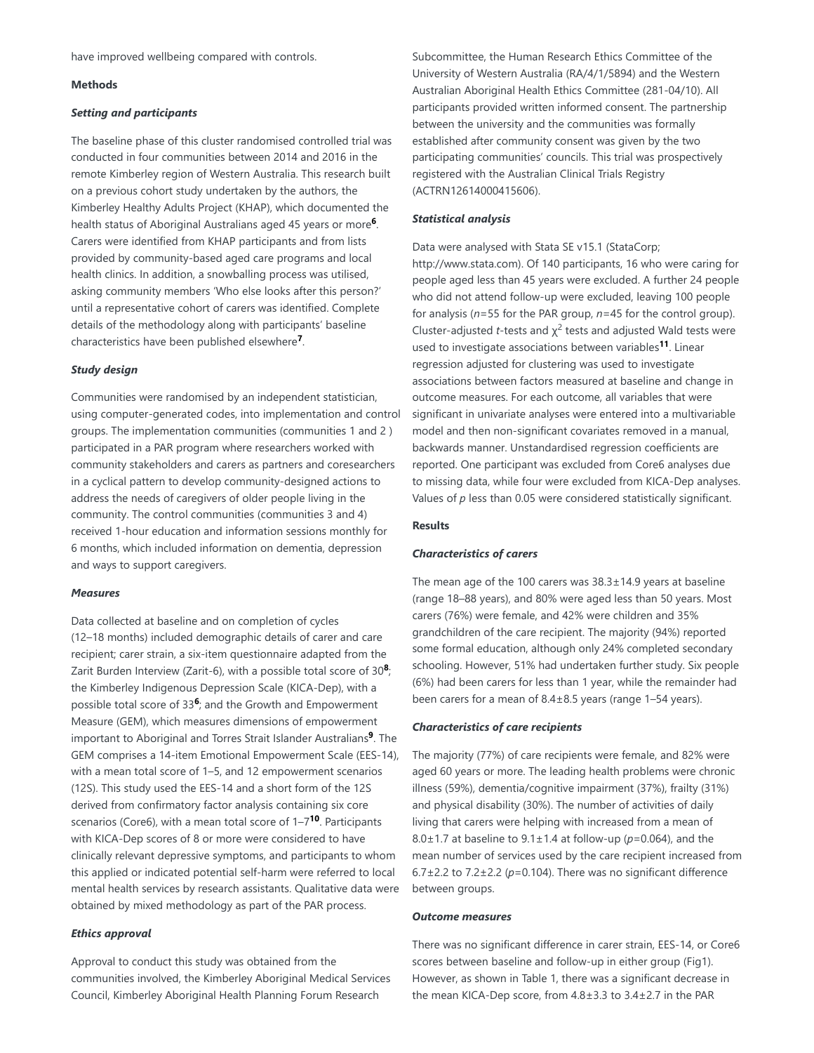have improved wellbeing compared with controls.

#### **Methods**

#### *Setting and participants*

The baseline phase of this cluster randomised controlled trial was conducted in four communities between 2014 and 2016 in the remote Kimberley region of Western Australia. This research built on a previous cohort study undertaken by the authors, the Kimberley Healthy Adults Project (KHAP), which documented the health status of Aboriginal Australians aged 45 years or more<sup>6</sup>. Carers were identified from KHAP participants and from lists provided by community-based aged care programs and local health clinics. In addition, a snowballing process was utilised, asking community members 'Who else looks after this person?' until a representative cohort of carers was identified. Complete details of the methodology along with participants' baseline characteristics have been published elsewhere<sup>7</sup>.

#### *Study design*

Communities were randomised by an independent statistician, using computer-generated codes, into implementation and control groups. The implementation communities (communities 1 and 2 ) participated in a PAR program where researchers worked with community stakeholders and carers as partners and coresearchers in a cyclical pattern to develop community-designed actions to address the needs of caregivers of older people living in the community. The control communities (communities 3 and 4) received 1-hour education and information sessions monthly for 6 months, which included information on dementia, depression and ways to support caregivers.

#### *Measures*

Data collected at baseline and on completion of cycles (12–18 months) included demographic details of carer and care recipient; carer strain, a six-item questionnaire adapted from the Zarit Burden Interview (Zarit-6), with a possible total score of 30<sup>8</sup>; the Kimberley Indigenous Depression Scale (KICA-Dep), with a possible total score of 33<sup>6</sup>; and the Growth and Empowerment Measure (GEM), which measures dimensions of empowerment important to Aboriginal and Torres Strait Islander Australians<sup>9</sup>. The GEM comprises a 14-item Emotional Empowerment Scale (EES-14), with a mean total score of 1–5, and 12 empowerment scenarios (12S). This study used the EES-14 and a short form of the 12S derived from confirmatory factor analysis containing six core scenarios (Core6), with a mean total score of 1–7<sup>10</sup>. Participants with KICA-Dep scores of 8 or more were considered to have clinically relevant depressive symptoms, and participants to whom this applied or indicated potential self-harm were referred to local mental health services by research assistants. Qualitative data were obtained by mixed methodology as part of the PAR process.

#### *Ethics approval*

Approval to conduct this study was obtained from the communities involved, the Kimberley Aboriginal Medical Services Council, Kimberley Aboriginal Health Planning Forum Research

Subcommittee, the Human Research Ethics Committee of the University of Western Australia (RA/4/1/5894) and the Western Australian Aboriginal Health Ethics Committee (281-04/10). All participants provided written informed consent. The partnership between the university and the communities was formally established after community consent was given by the two participating communities' councils. This trial was prospectively registered with the Australian Clinical Trials Registry (ACTRN12614000415606).

#### *Statistical analysis*

Data were analysed with Stata SE v15.1 (StataCorp; http://www.stata.com). Of 140 participants, 16 who were caring for people aged less than 45 years were excluded. A further 24 people who did not attend follow-up were excluded, leaving 100 people for analysis (*n*=55 for the PAR group, *n*=45 for the control group). Cluster-adjusted *t*-tests and  $\chi^2$  tests and adjusted Wald tests were used to investigate associations between variables<sup>11</sup>. Linear regression adjusted for clustering was used to investigate associations between factors measured at baseline and change in outcome measures. For each outcome, all variables that were significant in univariate analyses were entered into a multivariable model and then non-significant covariates removed in a manual, backwards manner. Unstandardised regression coefficients are reported. One participant was excluded from Core6 analyses due to missing data, while four were excluded from KICA-Dep analyses. Values of *p* less than 0.05 were considered statistically significant.

#### **Results**

#### *Characteristics of carers*

The mean age of the 100 carers was 38.3±14.9 years at baseline (range 18–88 years), and 80% were aged less than 50 years. Most carers (76%) were female, and 42% were children and 35% grandchildren of the care recipient. The majority (94%) reported some formal education, although only 24% completed secondary schooling. However, 51% had undertaken further study. Six people (6%) had been carers for less than 1 year, while the remainder had been carers for a mean of 8.4±8.5 years (range 1–54 years).

#### *Characteristics of care recipients*

The majority (77%) of care recipients were female, and 82% were aged 60 years or more. The leading health problems were chronic illness (59%), dementia/cognitive impairment (37%), frailty (31%) and physical disability (30%). The number of activities of daily living that carers were helping with increased from a mean of 8.0±1.7 at baseline to 9.1±1.4 at follow-up (*p*=0.064), and the mean number of services used by the care recipient increased from 6.7±2.2 to 7.2±2.2 (*p*=0.104). There was no significant difference between groups.

#### *Outcome measures*

There was no significant difference in carer strain, EES-14, or Core6 scores between baseline and follow-up in either group (Fig1). However, as shown in Table 1, there was a significant decrease in the mean KICA-Dep score, from 4.8±3.3 to 3.4±2.7 in the PAR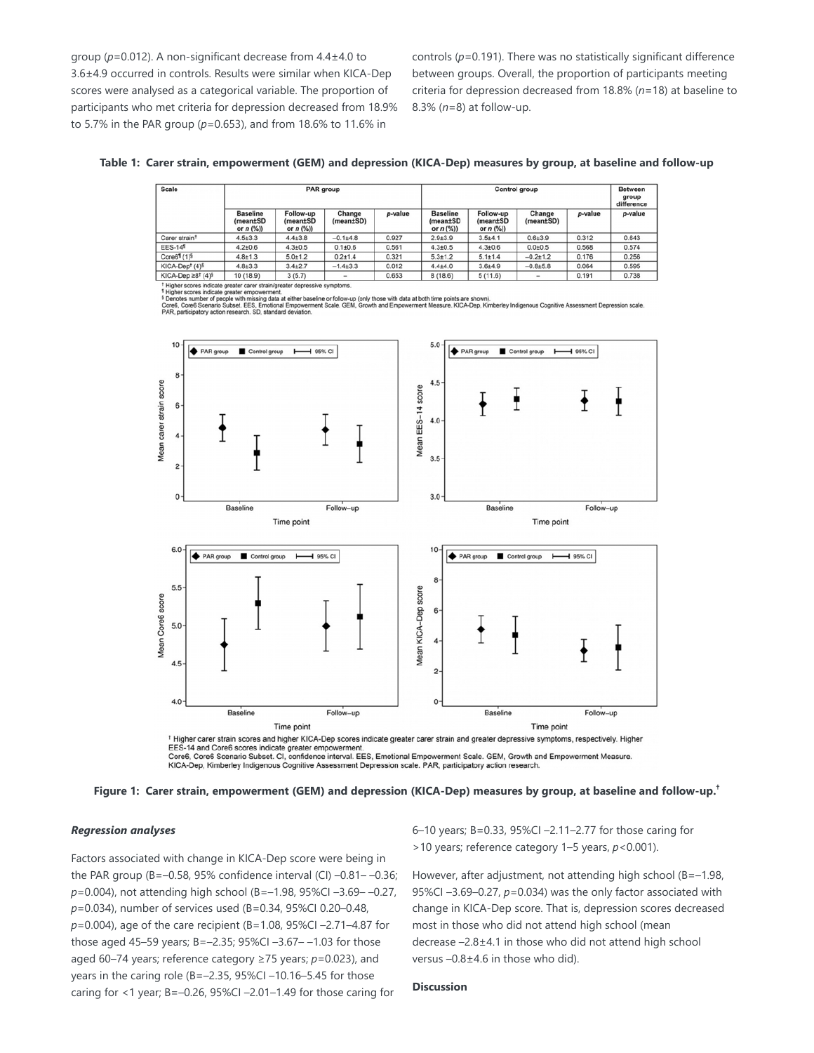group (*p*=0.012). A non-significant decrease from 4.4±4.0 to 3.6±4.9 occurred in controls. Results were similar when KICA-Dep scores were analysed as a categorical variable. The proportion of participants who met criteria for depression decreased from 18.9% to 5.7% in the PAR group (*p*=0.653), and from 18.6% to 11.6% in

controls (*p*=0.191). There was no statistically significant difference between groups. Overall, the proportion of participants meeting criteria for depression decreased from 18.8% (*n*=18) at baseline to 8.3% (*n*=8) at follow-up.

| Table 1: Carer strain, empowerment (GEM) and depression (KICA-Dep) measures by group, at baseline and follow-up |  |  |  |  |  |  |  |  |  |
|-----------------------------------------------------------------------------------------------------------------|--|--|--|--|--|--|--|--|--|
|-----------------------------------------------------------------------------------------------------------------|--|--|--|--|--|--|--|--|--|

| <b>Scale</b>                                 | <b>PAR</b> group                           |                                      |                     |         | Control group                              |                                      |                     |         | <b>Between</b><br>group<br>difference |
|----------------------------------------------|--------------------------------------------|--------------------------------------|---------------------|---------|--------------------------------------------|--------------------------------------|---------------------|---------|---------------------------------------|
|                                              | <b>Baseline</b><br>(mean±SD<br>or $n$ (%)) | Follow-up<br>(mean±SD<br>or $n$ (%)) | Change<br>(mean±SD) | p-value | <b>Baseline</b><br>(mean±SD<br>or $n$ (%)) | Follow-up<br>(mean±SD<br>or $n$ (%)) | Change<br>(mean±SD) | p-value | p-value                               |
| Carer strain <sup>t</sup>                    | $4.5 \pm 3.3$                              | $4.4{\pm}3.8$                        | $-0.1 + 4.8$        | 0.927   | $2.9 + 3.9$                                | $3.5 + 4.1$                          | $0.6{\pm}3.9$       | 0.312   | 0.643                                 |
| <b>EES-141</b>                               | $4.2{\pm}0.6$                              | $4.3{\pm}0.5$                        | $0.1 + 0.6$         | 0.561   | $4.3{\pm}0.5$                              | $4.3{\pm}0.6$                        | $0.0{\pm}0.5$       | 0.568   | 0.574                                 |
| Core61 (1) <sup>§</sup>                      | $4.8 \pm 1.3$                              | $5.0 + 1.2$                          | $0.2 + 1.4$         | 0.321   | $5.3 + 1.2$                                | $5.1 \pm 1.4$                        | $-0.2 + 1.2$        | 0.176   | 0.256                                 |
| KICA-Dep <sup>t</sup> (4) <sup>§</sup>       | $4.8 + 3.3$                                | $3.4 + 2.7$                          | $-1.4+3.3$          | 0.012   | $4.4{\pm}4.0$                              | $3.6 + 4.9$                          | $-0.8 + 5.8$        | 0.064   | 0.595                                 |
| KICA-Dep $\geq 8^{\dagger}$ (4) <sup>§</sup> | 10 (18.9)                                  | 3(5.7)                               | -                   | 0.653   | 8(18.6)                                    | 5(11.6)                              | -                   | 0.191   | 0.738                                 |

icate greater carer strain/greater depressive sympto

l Higher scores indicate greater empowerment.<br>1 Denotes number of people with missing data at either baseline or follow-up (only those with data at both time points are shown)<br>Core6, Core6 Scenario Subset. EES, Emotional E



Core6, Core6 Scenario Subset, CI, confidence interval, EES, Emotional Empowerment Scale, GEM, Growth and Empowerment Measure. KICA-Dep, Kimberley Indigenous Cognitive Assessment Depression scale. PAR, participatory action research.

**Figure 1: Carer strain, empowerment (GEM) and depression (KICA-Dep) measures by group, at baseline and follow-up. †**

#### *Regression analyses*

Factors associated with change in KICA-Dep score were being in the PAR group (B=–0.58, 95% confidence interval (CI) –0.81– –0.36; *p*=0.004), not attending high school (B=–1.98, 95%CI –3.69– –0.27, *p*=0.034), number of services used (B=0.34, 95%CI 0.20–0.48, *p*=0.004), age of the care recipient (B=1.08, 95%CI –2.71–4.87 for those aged 45–59 years; B=–2.35; 95%CI –3.67– –1.03 for those aged 60–74 years; reference category ≥75 years; *p*=0.023), and years in the caring role (B=–2.35, 95%CI –10.16–5.45 for those caring for <1 year; B=–0.26, 95%CI –2.01–1.49 for those caring for

6–10 years; B=0.33, 95%CI –2.11–2.77 for those caring for >10 years; reference category 1–5 years, *p*<0.001).

However, after adjustment, not attending high school (B=–1.98, 95%CI –3.69–0.27, *p*=0.034) was the only factor associated with change in KICA-Dep score. That is, depression scores decreased most in those who did not attend high school (mean decrease –2.8±4.1 in those who did not attend high school versus –0.8±4.6 in those who did).

### **Discussion**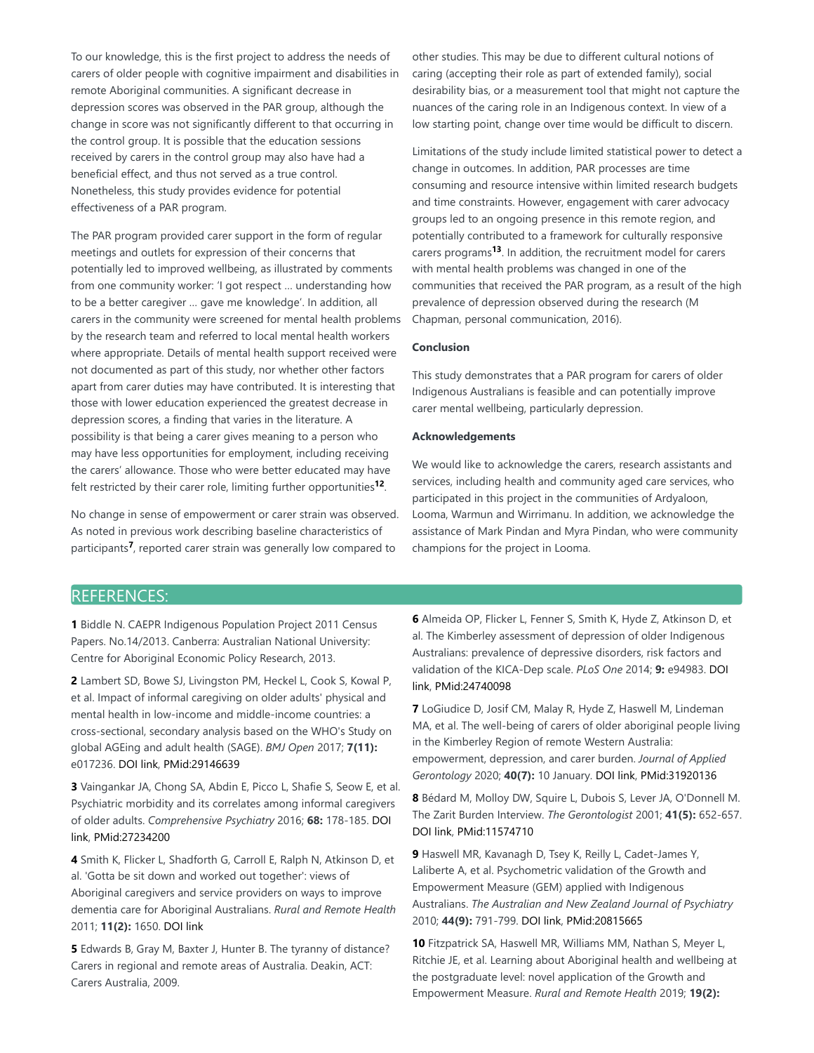To our knowledge, this is the first project to address the needs of carers of older people with cognitive impairment and disabilities in remote Aboriginal communities. A significant decrease in depression scores was observed in the PAR group, although the change in score was not significantly different to that occurring in the control group. It is possible that the education sessions received by carers in the control group may also have had a beneficial effect, and thus not served as a true control. Nonetheless, this study provides evidence for potential effectiveness of a PAR program.

The PAR program provided carer support in the form of regular meetings and outlets for expression of their concerns that potentially led to improved wellbeing, as illustrated by comments from one community worker: 'I got respect … understanding how to be a better caregiver … gave me knowledge'. In addition, all carers in the community were screened for mental health problems by the research team and referred to local mental health workers where appropriate. Details of mental health support received were not documented as part of this study, nor whether other factors apart from carer duties may have contributed. It is interesting that those with lower education experienced the greatest decrease in depression scores, a finding that varies in the literature. A possibility is that being a carer gives meaning to a person who may have less opportunities for employment, including receiving the carers' allowance. Those who were better educated may have felt restricted by their carer role, limiting further opportunities<sup>12</sup>.

No change in sense of empowerment or carer strain was observed. As noted in previous work describing baseline characteristics of participants<sup>7</sup>, reported carer strain was generally low compared to

other studies. This may be due to different cultural notions of caring (accepting their role as part of extended family), social desirability bias, or a measurement tool that might not capture the nuances of the caring role in an Indigenous context. In view of a low starting point, change over time would be difficult to discern.

Limitations of the study include limited statistical power to detect a change in outcomes. In addition, PAR processes are time consuming and resource intensive within limited research budgets and time constraints. However, engagement with carer advocacy groups led to an ongoing presence in this remote region, and potentially contributed to a framework for culturally responsive carers programs<sup>13</sup>. In addition, the recruitment model for carers with mental health problems was changed in one of the communities that received the PAR program, as a result of the high prevalence of depression observed during the research (M Chapman, personal communication, 2016).

#### **Conclusion**

This study demonstrates that a PAR program for carers of older Indigenous Australians is feasible and can potentially improve carer mental wellbeing, particularly depression.

#### **Acknowledgements**

We would like to acknowledge the carers, research assistants and services, including health and community aged care services, who participated in this project in the communities of Ardyaloon, Looma, Warmun and Wirrimanu. In addition, we acknowledge the assistance of Mark Pindan and Myra Pindan, who were community champions for the project in Looma.

# REFERENCES:

**1** Biddle N. CAEPR Indigenous Population Project 2011 Census Papers. No.14/2013. Canberra: Australian National University: Centre for Aboriginal Economic Policy Research, 2013.

**2** Lambert SD, Bowe SJ, Livingston PM, Heckel L, Cook S, Kowal P, et al. Impact of informal caregiving on older adults' physical and mental health in low-income and middle-income countries: a cross-sectional, secondary analysis based on the WHO's Study on global AGEing and adult health (SAGE). *BMJ Open* 2017; **7(11):** e017236. DOI link, PMid:29146639

**3** Vaingankar JA, Chong SA, Abdin E, Picco L, Shafie S, Seow E, et al. Psychiatric morbidity and its correlates among informal caregivers of older adults. *Comprehensive Psychiatry* 2016; **68:** 178-185. DOI link, PMid:27234200

**4** Smith K, Flicker L, Shadforth G, Carroll E, Ralph N, Atkinson D, et al. 'Gotta be sit down and worked out together': views of Aboriginal caregivers and service providers on ways to improve dementia care for Aboriginal Australians. *Rural and Remote Health* 2011; **11(2):** 1650. DOI link

**5** Edwards B, Gray M, Baxter J, Hunter B. The tyranny of distance? Carers in regional and remote areas of Australia. Deakin, ACT: Carers Australia, 2009.

**6** Almeida OP, Flicker L, Fenner S, Smith K, Hyde Z, Atkinson D, et al. The Kimberley assessment of depression of older Indigenous Australians: prevalence of depressive disorders, risk factors and validation of the KICA-Dep scale. *PLoS One* 2014; **9:** e94983. DOI link, PMid:24740098

**7** LoGiudice D, Josif CM, Malay R, Hyde Z, Haswell M, Lindeman MA, et al. The well-being of carers of older aboriginal people living in the Kimberley Region of remote Western Australia: empowerment, depression, and carer burden. *Journal of Applied Gerontology* 2020; **40(7):** 10 January. DOI link, PMid:31920136

**8** Bédard M, Molloy DW, Squire L, Dubois S, Lever JA, O'Donnell M. The Zarit Burden Interview. *The Gerontologist* 2001; **41(5):** 652-657. DOI link, PMid:11574710

**9** Haswell MR, Kavanagh D, Tsey K, Reilly L, Cadet-James Y, Laliberte A, et al. Psychometric validation of the Growth and Empowerment Measure (GEM) applied with Indigenous Australians. *The Australian and New Zealand Journal of Psychiatry* 2010; **44(9):** 791-799. DOI link, PMid:20815665

**10** Fitzpatrick SA, Haswell MR, Williams MM, Nathan S, Meyer L, Ritchie JE, et al. Learning about Aboriginal health and wellbeing at the postgraduate level: novel application of the Growth and Empowerment Measure. *Rural and Remote Health* 2019; **19(2):**